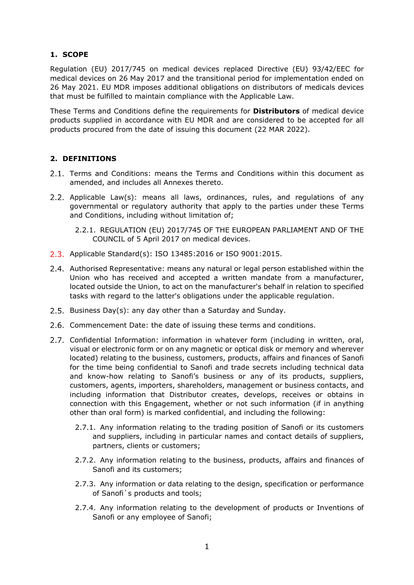## **1. SCOPE**

Regulation (EU) 2017/745 on medical devices replaced Directive (EU) 93/42/EEC for medical devices on 26 May 2017 and the transitional period for implementation ended on 26 May 2021. EU MDR imposes additional obligations on distributors of medicals devices that must be fulfilled to maintain compliance with the Applicable Law.

These Terms and Conditions define the requirements for **Distributors** of medical device products supplied in accordance with EU MDR and are considered to be accepted for all products procured from the date of issuing this document (22 MAR 2022).

## **2. DEFINITIONS**

- 2.1. Terms and Conditions: means the Terms and Conditions within this document as amended, and includes all Annexes thereto.
- 2.2. Applicable Law(s): means all laws, ordinances, rules, and regulations of any governmental or regulatory authority that apply to the parties under these Terms and Conditions, including without limitation of;

2.2.1. REGULATION (EU) 2017/745 OF THE EUROPEAN PARLIAMENT AND OF THE COUNCIL of 5 April 2017 on medical devices.

- 2.3. Applicable Standard(s): ISO 13485:2016 or ISO 9001:2015.
- 2.4. Authorised Representative: means any natural or legal person established within the Union who has received and accepted a written mandate from a manufacturer, located outside the Union, to act on the manufacturer's behalf in relation to specified tasks with regard to the latter's obligations under the applicable regulation.
- 2.5. Business Day(s): any day other than a Saturday and Sunday.
- 2.6. Commencement Date: the date of issuing these terms and conditions.
- Confidential Information: information in whatever form (including in written, oral, visual or electronic form or on any magnetic or optical disk or memory and wherever located) relating to the business, customers, products, affairs and finances of Sanofi for the time being confidential to Sanofi and trade secrets including technical data and know-how relating to Sanofi's business or any of its products, suppliers, customers, agents, importers, shareholders, management or business contacts, and including information that Distributor creates, develops, receives or obtains in connection with this Engagement, whether or not such information (if in anything other than oral form) is marked confidential, and including the following:
	- 2.7.1. Any information relating to the trading position of Sanofi or its customers and suppliers, including in particular names and contact details of suppliers, partners, clients or customers;
	- 2.7.2. Any information relating to the business, products, affairs and finances of Sanofi and its customers;
	- 2.7.3. Any information or data relating to the design, specification or performance of Sanofi`s products and tools;
	- 2.7.4. Any information relating to the development of products or Inventions of Sanofi or any employee of Sanofi;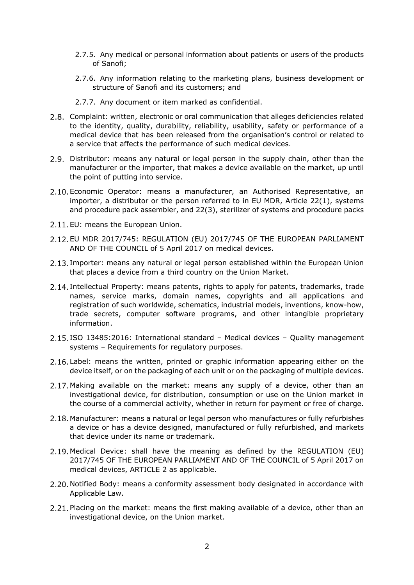- 2.7.5. Any medical or personal information about patients or users of the products of Sanofi;
- 2.7.6. Any information relating to the marketing plans, business development or structure of Sanofi and its customers; and
- 2.7.7. Any document or item marked as confidential.
- Complaint: written, electronic or oral communication that alleges deficiencies related to the identity, quality, durability, reliability, usability, safety or performance of a medical device that has been released from the organisation's control or related to a service that affects the performance of such medical devices.
- 2.9. Distributor: means any natural or legal person in the supply chain, other than the manufacturer or the importer, that makes a device available on the market, up until the point of putting into service.
- 2.10. Economic Operator: means a manufacturer, an Authorised Representative, an importer, a distributor or the person referred to in EU MDR, Article 22(1), systems and procedure pack assembler, and 22(3), sterilizer of systems and procedure packs
- 2.11. EU: means the European Union.
- 2.12. EU MDR 2017/745: REGULATION (EU) 2017/745 OF THE EUROPEAN PARLIAMENT AND OF THE COUNCIL of 5 April 2017 on medical devices.
- 2.13. Importer: means any natural or legal person established within the European Union that places a device from a third country on the Union Market.
- 2.14. Intellectual Property: means patents, rights to apply for patents, trademarks, trade names, service marks, domain names, copyrights and all applications and registration of such worldwide, schematics, industrial models, inventions, know-how, trade secrets, computer software programs, and other intangible proprietary information.
- 2.15. ISO 13485:2016: International standard Medical devices Quality management systems – Requirements for regulatory purposes.
- 2.16. Label: means the written, printed or graphic information appearing either on the device itself, or on the packaging of each unit or on the packaging of multiple devices.
- 2.17. Making available on the market: means any supply of a device, other than an investigational device, for distribution, consumption or use on the Union market in the course of a commercial activity, whether in return for payment or free of charge.
- 2.18. Manufacturer: means a natural or legal person who manufactures or fully refurbishes a device or has a device designed, manufactured or fully refurbished, and markets that device under its name or trademark.
- Medical Device: shall have the meaning as defined by the REGULATION (EU) 2017/745 OF THE EUROPEAN PARLIAMENT AND OF THE COUNCIL of 5 April 2017 on medical devices, ARTICLE 2 as applicable.
- 2.20. Notified Body: means a conformity assessment body designated in accordance with Applicable Law.
- 2.21. Placing on the market: means the first making available of a device, other than an investigational device, on the Union market.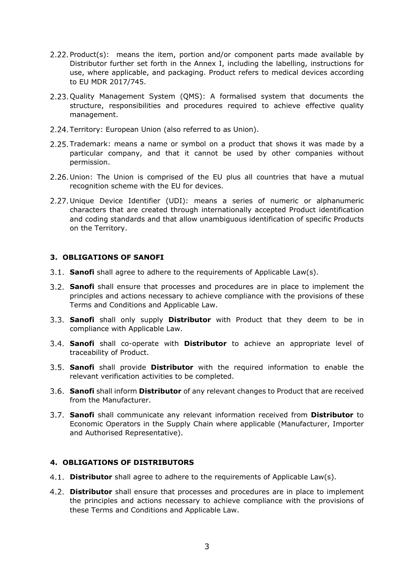- 2.22. Product(s): means the item, portion and/or component parts made available by Distributor further set forth in the Annex I, including the labelling, instructions for use, where applicable, and packaging. Product refers to medical devices according to EU MDR 2017/745.
- 2.23. Quality Management System (QMS): A formalised system that documents the structure, responsibilities and procedures required to achieve effective quality management.
- 2.24. Territory: European Union (also referred to as Union).
- 2.25. Trademark: means a name or symbol on a product that shows it was made by a particular company, and that it cannot be used by other companies without permission.
- 2.26. Union: The Union is comprised of the EU plus all countries that have a mutual recognition scheme with the EU for devices.
- Unique Device Identifier (UDI): means a series of numeric or alphanumeric characters that are created through internationally accepted Product identification and coding standards and that allow unambiguous identification of specific Products on the Territory.

## **3. OBLIGATIONS OF SANOFI**

- **Sanofi** shall agree to adhere to the requirements of Applicable Law(s).
- **Sanofi** shall ensure that processes and procedures are in place to implement the principles and actions necessary to achieve compliance with the provisions of these Terms and Conditions and Applicable Law.
- **Sanofi** shall only supply **Distributor** with Product that they deem to be in compliance with Applicable Law.
- **Sanofi** shall co-operate with **Distributor** to achieve an appropriate level of traceability of Product.
- **Sanofi** shall provide **Distributor** with the required information to enable the relevant verification activities to be completed.
- **Sanofi** shall inform **Distributor** of any relevant changes to Product that are received from the Manufacturer.
- **Sanofi** shall communicate any relevant information received from **Distributor** to Economic Operators in the Supply Chain where applicable (Manufacturer, Importer and Authorised Representative).

## **4. OBLIGATIONS OF DISTRIBUTORS**

- **Distributor** shall agree to adhere to the requirements of Applicable Law(s).
- **Distributor** shall ensure that processes and procedures are in place to implement the principles and actions necessary to achieve compliance with the provisions of these Terms and Conditions and Applicable Law.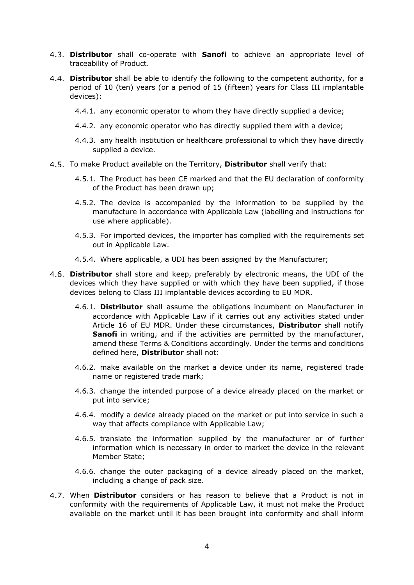- **Distributor** shall co-operate with **Sanofi** to achieve an appropriate level of traceability of Product.
- **Distributor** shall be able to identify the following to the competent authority, for a period of 10 (ten) years (or a period of 15 (fifteen) years for Class III implantable devices):
	- 4.4.1. any economic operator to whom they have directly supplied a device;
	- 4.4.2. any economic operator who has directly supplied them with a device;
	- 4.4.3. any health institution or healthcare professional to which they have directly supplied a device.
- To make Product available on the Territory, **Distributor** shall verify that:
	- 4.5.1. The Product has been CE marked and that the EU declaration of conformity of the Product has been drawn up;
	- 4.5.2. The device is accompanied by the information to be supplied by the manufacture in accordance with Applicable Law (labelling and instructions for use where applicable).
	- 4.5.3. For imported devices, the importer has complied with the requirements set out in Applicable Law.
	- 4.5.4. Where applicable, a UDI has been assigned by the Manufacturer;
- **Distributor** shall store and keep, preferably by electronic means, the UDI of the devices which they have supplied or with which they have been supplied, if those devices belong to Class III implantable devices according to EU MDR.
	- 4.6.1. **Distributor** shall assume the obligations incumbent on Manufacturer in accordance with Applicable Law if it carries out any activities stated under Article 16 of EU MDR. Under these circumstances, **Distributor** shall notify **Sanofi** in writing, and if the activities are permitted by the manufacturer, amend these Terms & Conditions accordingly. Under the terms and conditions defined here, **Distributor** shall not:
	- 4.6.2. make available on the market a device under its name, registered trade name or registered trade mark;
	- 4.6.3. change the intended purpose of a device already placed on the market or put into service;
	- 4.6.4. modify a device already placed on the market or put into service in such a way that affects compliance with Applicable Law;
	- 4.6.5. translate the information supplied by the manufacturer or of further information which is necessary in order to market the device in the relevant Member State;
	- 4.6.6. change the outer packaging of a device already placed on the market, including a change of pack size.
- When **Distributor** considers or has reason to believe that a Product is not in conformity with the requirements of Applicable Law, it must not make the Product available on the market until it has been brought into conformity and shall inform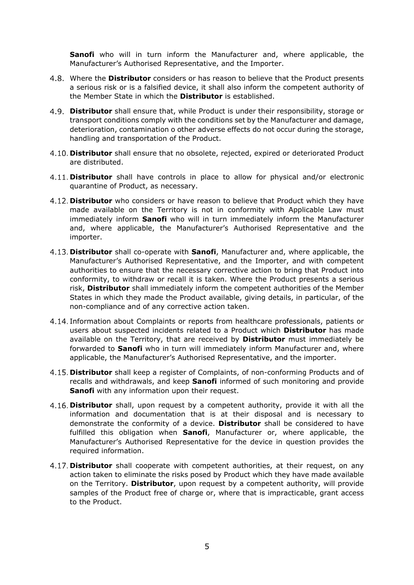**Sanofi** who will in turn inform the Manufacturer and, where applicable, the Manufacturer's Authorised Representative, and the Importer.

- Where the **Distributor** considers or has reason to believe that the Product presents a serious risk or is a falsified device, it shall also inform the competent authority of the Member State in which the **Distributor** is established.
- **Distributor** shall ensure that, while Product is under their responsibility, storage or transport conditions comply with the conditions set by the Manufacturer and damage, deterioration, contamination o other adverse effects do not occur during the storage, handling and transportation of the Product.
- **Distributor** shall ensure that no obsolete, rejected, expired or deteriorated Product are distributed.
- **Distributor** shall have controls in place to allow for physical and/or electronic quarantine of Product, as necessary.
- **Distributor** who considers or have reason to believe that Product which they have made available on the Territory is not in conformity with Applicable Law must immediately inform **Sanofi** who will in turn immediately inform the Manufacturer and, where applicable, the Manufacturer's Authorised Representative and the importer.
- **Distributor** shall co-operate with **Sanofi**, Manufacturer and, where applicable, the Manufacturer's Authorised Representative, and the Importer, and with competent authorities to ensure that the necessary corrective action to bring that Product into conformity, to withdraw or recall it is taken. Where the Product presents a serious risk, **Distributor** shall immediately inform the competent authorities of the Member States in which they made the Product available, giving details, in particular, of the non-compliance and of any corrective action taken.
- 4.14. Information about Complaints or reports from healthcare professionals, patients or users about suspected incidents related to a Product which **Distributor** has made available on the Territory, that are received by **Distributor** must immediately be forwarded to **Sanofi** who in turn will immediately inform Manufacturer and, where applicable, the Manufacturer's Authorised Representative, and the importer.
- **Distributor** shall keep a register of Complaints, of non-conforming Products and of recalls and withdrawals, and keep **Sanofi** informed of such monitoring and provide **Sanofi** with any information upon their request.
- **Distributor** shall, upon request by a competent authority, provide it with all the information and documentation that is at their disposal and is necessary to demonstrate the conformity of a device. **Distributor** shall be considered to have fulfilled this obligation when **Sanofi**, Manufacturer or, where applicable, the Manufacturer's Authorised Representative for the device in question provides the required information.
- **Distributor** shall cooperate with competent authorities, at their request, on any action taken to eliminate the risks posed by Product which they have made available on the Territory. **Distributor**, upon request by a competent authority, will provide samples of the Product free of charge or, where that is impracticable, grant access to the Product.